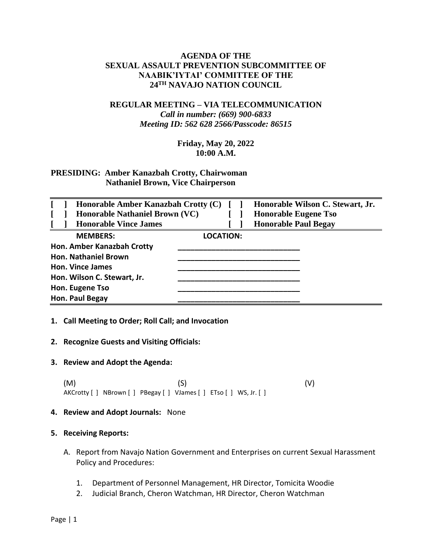## **AGENDA OF THE SEXUAL ASSAULT PREVENTION SUBCOMMITTEE OF NAABIK'IYTAI' COMMITTEE OF THE 24TH NAVAJO NATION COUNCIL**

# **REGULAR MEETING – VIA TELECOMMUNICATION** *Call in number: (669) 900-6833 Meeting ID: 562 628 2566/Passcode: 86515*

## **Friday, May 20, 2022 10:00 A.M.**

## **PRESIDING: Amber Kanazbah Crotty, Chairwoman Nathaniel Brown, Vice Chairperson**

| Honorable Amber Kanazbah Crotty (C)<br>Honorable Nathaniel Brown (VC) |                  | Honorable Wilson C. Stewart, Jr.<br><b>Honorable Eugene Tso</b> |
|-----------------------------------------------------------------------|------------------|-----------------------------------------------------------------|
| <b>Honorable Vince James</b>                                          |                  | <b>Honorable Paul Begay</b>                                     |
| <b>MEMBERS:</b>                                                       | <b>LOCATION:</b> |                                                                 |
| Hon. Amber Kanazbah Crotty                                            |                  |                                                                 |
| <b>Hon. Nathaniel Brown</b>                                           |                  |                                                                 |
| <b>Hon. Vince James</b>                                               |                  |                                                                 |
| Hon. Wilson C. Stewart, Jr.                                           |                  |                                                                 |
| Hon. Eugene Tso                                                       |                  |                                                                 |
| Hon. Paul Begay                                                       |                  |                                                                 |

#### **1. Call Meeting to Order; Roll Call; and Invocation**

#### **2. Recognize Guests and Visiting Officials:**

#### **3. Review and Adopt the Agenda:**

 $(M)$  (S)  $(V)$ AKCrotty [ ] NBrown [ ] PBegay [ ] VJames [ ] ETso [ ] WS, Jr. [ ]

#### **4. Review and Adopt Journals:** None

#### **5. Receiving Reports:**

- A. Report from Navajo Nation Government and Enterprises on current Sexual Harassment Policy and Procedures:
	- 1. Department of Personnel Management, HR Director, Tomicita Woodie
	- 2. Judicial Branch, Cheron Watchman, HR Director, Cheron Watchman